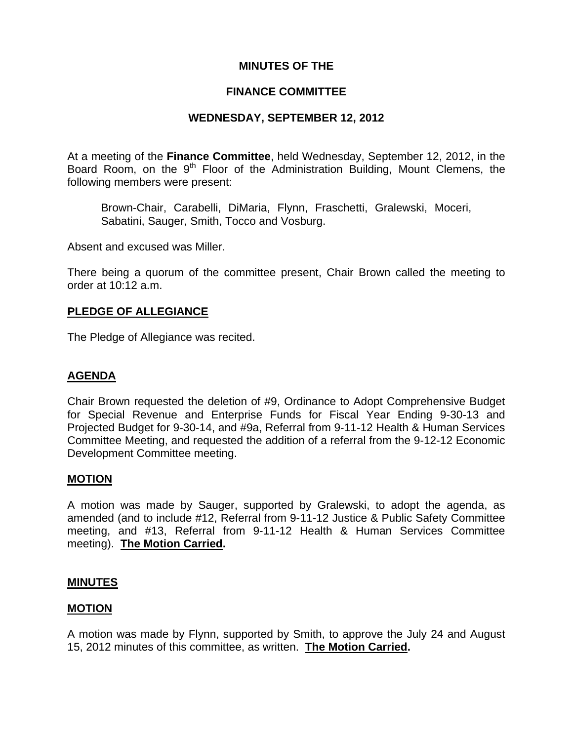## **MINUTES OF THE**

### **FINANCE COMMITTEE**

### **WEDNESDAY, SEPTEMBER 12, 2012**

At a meeting of the **Finance Committee**, held Wednesday, September 12, 2012, in the Board Room, on the  $9<sup>th</sup>$  Floor of the Administration Building, Mount Clemens, the following members were present:

Brown-Chair, Carabelli, DiMaria, Flynn, Fraschetti, Gralewski, Moceri, Sabatini, Sauger, Smith, Tocco and Vosburg.

Absent and excused was Miller.

There being a quorum of the committee present, Chair Brown called the meeting to order at 10:12 a.m.

### **PLEDGE OF ALLEGIANCE**

The Pledge of Allegiance was recited.

### **AGENDA**

Chair Brown requested the deletion of #9, Ordinance to Adopt Comprehensive Budget for Special Revenue and Enterprise Funds for Fiscal Year Ending 9-30-13 and Projected Budget for 9-30-14, and #9a, Referral from 9-11-12 Health & Human Services Committee Meeting, and requested the addition of a referral from the 9-12-12 Economic Development Committee meeting.

#### **MOTION**

A motion was made by Sauger, supported by Gralewski, to adopt the agenda, as amended (and to include #12, Referral from 9-11-12 Justice & Public Safety Committee meeting, and #13, Referral from 9-11-12 Health & Human Services Committee meeting). **The Motion Carried.** 

#### **MINUTES**

#### **MOTION**

A motion was made by Flynn, supported by Smith, to approve the July 24 and August 15, 2012 minutes of this committee, as written. **The Motion Carried.**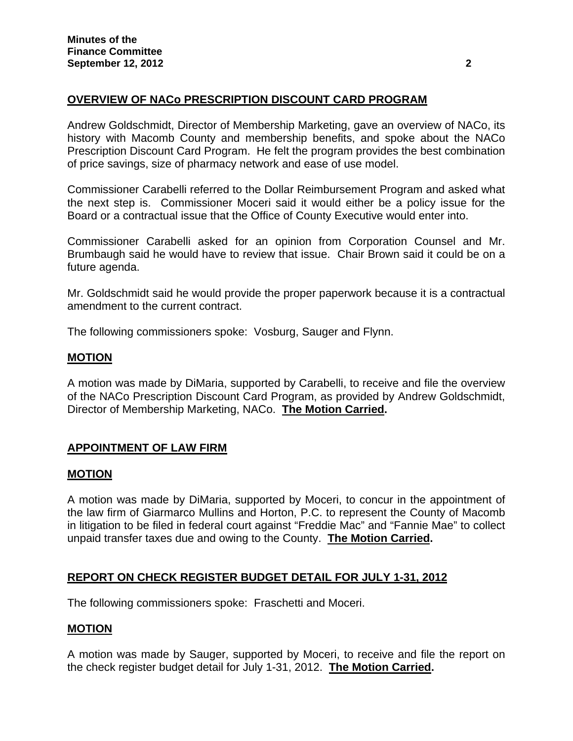# **OVERVIEW OF NACo PRESCRIPTION DISCOUNT CARD PROGRAM**

Andrew Goldschmidt, Director of Membership Marketing, gave an overview of NACo, its history with Macomb County and membership benefits, and spoke about the NACo Prescription Discount Card Program. He felt the program provides the best combination of price savings, size of pharmacy network and ease of use model.

Commissioner Carabelli referred to the Dollar Reimbursement Program and asked what the next step is. Commissioner Moceri said it would either be a policy issue for the Board or a contractual issue that the Office of County Executive would enter into.

Commissioner Carabelli asked for an opinion from Corporation Counsel and Mr. Brumbaugh said he would have to review that issue. Chair Brown said it could be on a future agenda.

Mr. Goldschmidt said he would provide the proper paperwork because it is a contractual amendment to the current contract.

The following commissioners spoke: Vosburg, Sauger and Flynn.

### **MOTION**

A motion was made by DiMaria, supported by Carabelli, to receive and file the overview of the NACo Prescription Discount Card Program, as provided by Andrew Goldschmidt, Director of Membership Marketing, NACo. **The Motion Carried.** 

## **APPOINTMENT OF LAW FIRM**

#### **MOTION**

A motion was made by DiMaria, supported by Moceri, to concur in the appointment of the law firm of Giarmarco Mullins and Horton, P.C. to represent the County of Macomb in litigation to be filed in federal court against "Freddie Mac" and "Fannie Mae" to collect unpaid transfer taxes due and owing to the County. **The Motion Carried.** 

## **REPORT ON CHECK REGISTER BUDGET DETAIL FOR JULY 1-31, 2012**

The following commissioners spoke: Fraschetti and Moceri.

## **MOTION**

A motion was made by Sauger, supported by Moceri, to receive and file the report on the check register budget detail for July 1-31, 2012. **The Motion Carried.**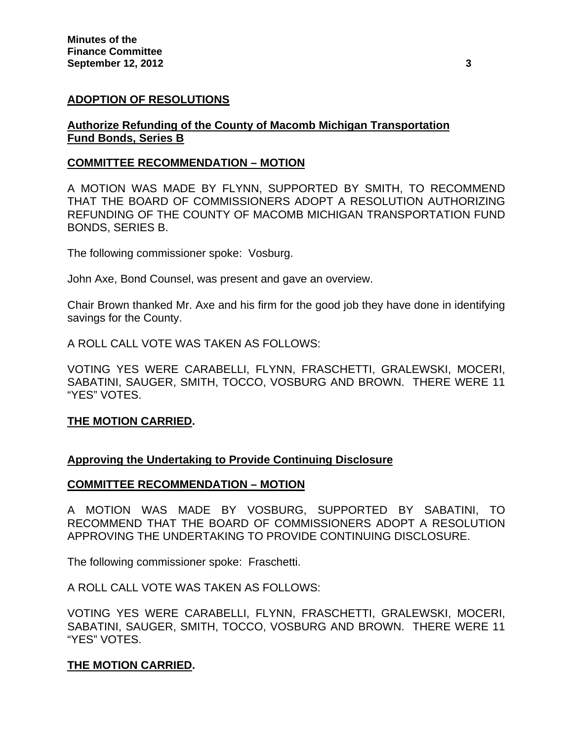## **ADOPTION OF RESOLUTIONS**

## **Authorize Refunding of the County of Macomb Michigan Transportation Fund Bonds, Series B**

### **COMMITTEE RECOMMENDATION – MOTION**

A MOTION WAS MADE BY FLYNN, SUPPORTED BY SMITH, TO RECOMMEND THAT THE BOARD OF COMMISSIONERS ADOPT A RESOLUTION AUTHORIZING REFUNDING OF THE COUNTY OF MACOMB MICHIGAN TRANSPORTATION FUND BONDS, SERIES B.

The following commissioner spoke: Vosburg.

John Axe, Bond Counsel, was present and gave an overview.

Chair Brown thanked Mr. Axe and his firm for the good job they have done in identifying savings for the County.

A ROLL CALL VOTE WAS TAKEN AS FOLLOWS:

VOTING YES WERE CARABELLI, FLYNN, FRASCHETTI, GRALEWSKI, MOCERI, SABATINI, SAUGER, SMITH, TOCCO, VOSBURG AND BROWN. THERE WERE 11 "YES" VOTES.

#### **THE MOTION CARRIED.**

## **Approving the Undertaking to Provide Continuing Disclosure**

#### **COMMITTEE RECOMMENDATION – MOTION**

A MOTION WAS MADE BY VOSBURG, SUPPORTED BY SABATINI, TO RECOMMEND THAT THE BOARD OF COMMISSIONERS ADOPT A RESOLUTION APPROVING THE UNDERTAKING TO PROVIDE CONTINUING DISCLOSURE.

The following commissioner spoke: Fraschetti.

A ROLL CALL VOTE WAS TAKEN AS FOLLOWS:

VOTING YES WERE CARABELLI, FLYNN, FRASCHETTI, GRALEWSKI, MOCERI, SABATINI, SAUGER, SMITH, TOCCO, VOSBURG AND BROWN. THERE WERE 11 "YES" VOTES.

#### **THE MOTION CARRIED.**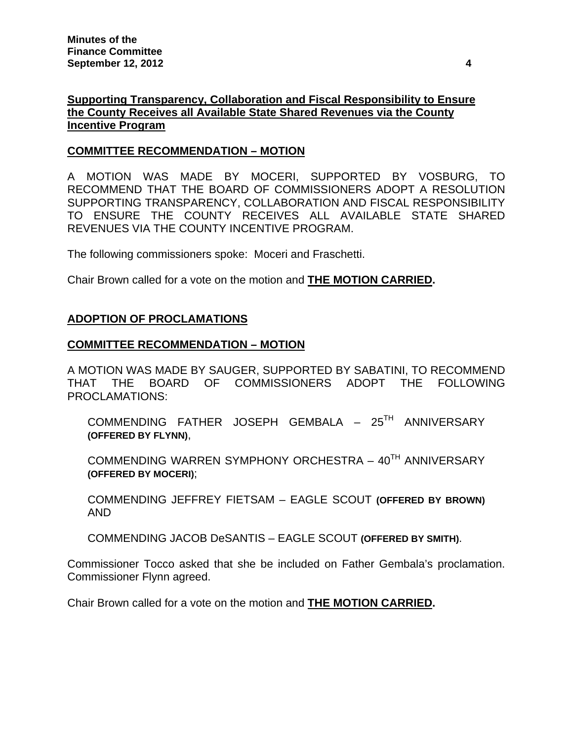# **Supporting Transparency, Collaboration and Fiscal Responsibility to Ensure the County Receives all Available State Shared Revenues via the County Incentive Program**

### **COMMITTEE RECOMMENDATION – MOTION**

A MOTION WAS MADE BY MOCERI, SUPPORTED BY VOSBURG, TO RECOMMEND THAT THE BOARD OF COMMISSIONERS ADOPT A RESOLUTION SUPPORTING TRANSPARENCY, COLLABORATION AND FISCAL RESPONSIBILITY TO ENSURE THE COUNTY RECEIVES ALL AVAILABLE STATE SHARED REVENUES VIA THE COUNTY INCENTIVE PROGRAM.

The following commissioners spoke: Moceri and Fraschetti.

Chair Brown called for a vote on the motion and **THE MOTION CARRIED.** 

#### **ADOPTION OF PROCLAMATIONS**

#### **COMMITTEE RECOMMENDATION – MOTION**

A MOTION WAS MADE BY SAUGER, SUPPORTED BY SABATINI, TO RECOMMEND THAT THE BOARD OF COMMISSIONERS ADOPT THE FOLLOWING PROCLAMATIONS:

COMMENDING FATHER JOSEPH GEMBALA – 25TH ANNIVERSARY **(OFFERED BY FLYNN)**,

COMMENDING WARREN SYMPHONY ORCHESTRA - 40<sup>TH</sup> ANNIVERSARY **(OFFERED BY MOCERI)**;

COMMENDING JEFFREY FIETSAM – EAGLE SCOUT **(OFFERED BY BROWN)** AND

COMMENDING JACOB DeSANTIS – EAGLE SCOUT **(OFFERED BY SMITH)**.

Commissioner Tocco asked that she be included on Father Gembala's proclamation. Commissioner Flynn agreed.

Chair Brown called for a vote on the motion and **THE MOTION CARRIED.**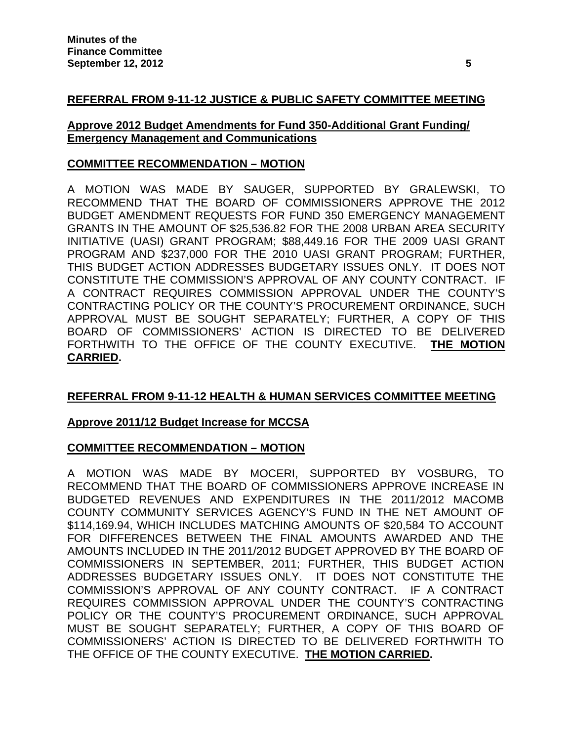## **REFERRAL FROM 9-11-12 JUSTICE & PUBLIC SAFETY COMMITTEE MEETING**

### **Approve 2012 Budget Amendments for Fund 350-Additional Grant Funding/ Emergency Management and Communications**

### **COMMITTEE RECOMMENDATION – MOTION**

A MOTION WAS MADE BY SAUGER, SUPPORTED BY GRALEWSKI, TO RECOMMEND THAT THE BOARD OF COMMISSIONERS APPROVE THE 2012 BUDGET AMENDMENT REQUESTS FOR FUND 350 EMERGENCY MANAGEMENT GRANTS IN THE AMOUNT OF \$25,536.82 FOR THE 2008 URBAN AREA SECURITY INITIATIVE (UASI) GRANT PROGRAM; \$88,449.16 FOR THE 2009 UASI GRANT PROGRAM AND \$237,000 FOR THE 2010 UASI GRANT PROGRAM; FURTHER, THIS BUDGET ACTION ADDRESSES BUDGETARY ISSUES ONLY. IT DOES NOT CONSTITUTE THE COMMISSION'S APPROVAL OF ANY COUNTY CONTRACT. IF A CONTRACT REQUIRES COMMISSION APPROVAL UNDER THE COUNTY'S CONTRACTING POLICY OR THE COUNTY'S PROCUREMENT ORDINANCE, SUCH APPROVAL MUST BE SOUGHT SEPARATELY; FURTHER, A COPY OF THIS BOARD OF COMMISSIONERS' ACTION IS DIRECTED TO BE DELIVERED FORTHWITH TO THE OFFICE OF THE COUNTY EXECUTIVE. **THE MOTION CARRIED.** 

## **REFERRAL FROM 9-11-12 HEALTH & HUMAN SERVICES COMMITTEE MEETING**

## **Approve 2011/12 Budget Increase for MCCSA**

#### **COMMITTEE RECOMMENDATION – MOTION**

A MOTION WAS MADE BY MOCERI, SUPPORTED BY VOSBURG, TO RECOMMEND THAT THE BOARD OF COMMISSIONERS APPROVE INCREASE IN BUDGETED REVENUES AND EXPENDITURES IN THE 2011/2012 MACOMB COUNTY COMMUNITY SERVICES AGENCY'S FUND IN THE NET AMOUNT OF \$114,169.94, WHICH INCLUDES MATCHING AMOUNTS OF \$20,584 TO ACCOUNT FOR DIFFERENCES BETWEEN THE FINAL AMOUNTS AWARDED AND THE AMOUNTS INCLUDED IN THE 2011/2012 BUDGET APPROVED BY THE BOARD OF COMMISSIONERS IN SEPTEMBER, 2011; FURTHER, THIS BUDGET ACTION ADDRESSES BUDGETARY ISSUES ONLY. IT DOES NOT CONSTITUTE THE COMMISSION'S APPROVAL OF ANY COUNTY CONTRACT. IF A CONTRACT REQUIRES COMMISSION APPROVAL UNDER THE COUNTY'S CONTRACTING POLICY OR THE COUNTY'S PROCUREMENT ORDINANCE, SUCH APPROVAL MUST BE SOUGHT SEPARATELY; FURTHER, A COPY OF THIS BOARD OF COMMISSIONERS' ACTION IS DIRECTED TO BE DELIVERED FORTHWITH TO THE OFFICE OF THE COUNTY EXECUTIVE. **THE MOTION CARRIED.**